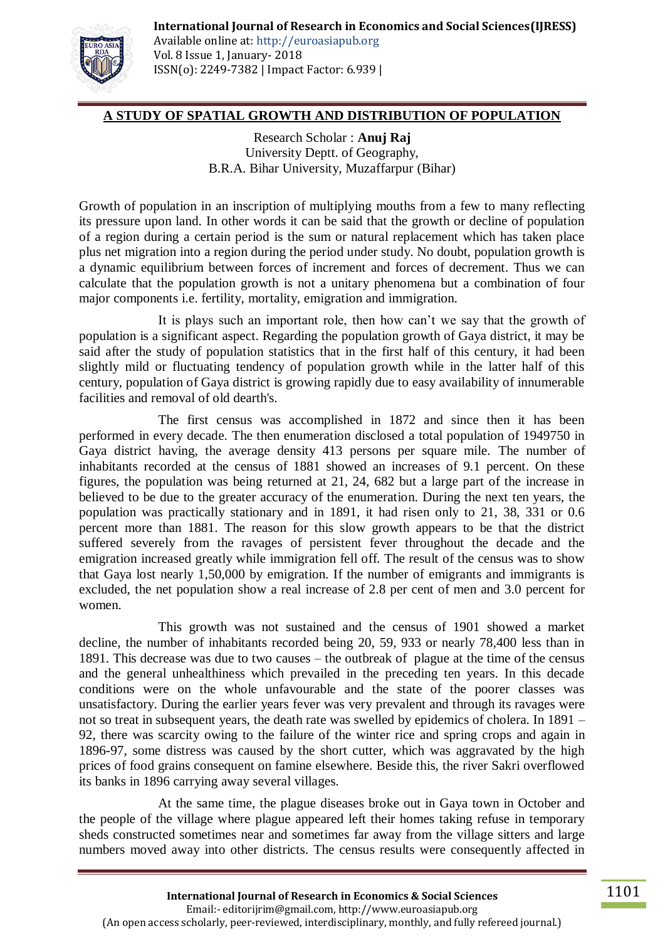

Available online at: http://euroasiapub.org Vol. 8 Issue 1, January- 2018 ISSN(o): 2249-7382 | Impact Factor: 6.939 |

# **A STUDY OF SPATIAL GROWTH AND DISTRIBUTION OF POPULATION**

Research Scholar : **Anuj Raj** University Deptt. of Geography, B.R.A. Bihar University, Muzaffarpur (Bihar)

Growth of population in an inscription of multiplying mouths from a few to many reflecting its pressure upon land. In other words it can be said that the growth or decline of population of a region during a certain period is the sum or natural replacement which has taken place plus net migration into a region during the period under study. No doubt, population growth is a dynamic equilibrium between forces of increment and forces of decrement. Thus we can calculate that the population growth is not a unitary phenomena but a combination of four major components i.e. fertility, mortality, emigration and immigration.

It is plays such an important role, then how can"t we say that the growth of population is a significant aspect. Regarding the population growth of Gaya district, it may be said after the study of population statistics that in the first half of this century, it had been slightly mild or fluctuating tendency of population growth while in the latter half of this century, population of Gaya district is growing rapidly due to easy availability of innumerable facilities and removal of old dearth's.

The first census was accomplished in 1872 and since then it has been performed in every decade. The then enumeration disclosed a total population of 1949750 in Gaya district having, the average density 413 persons per square mile. The number of inhabitants recorded at the census of 1881 showed an increases of 9.1 percent. On these figures, the population was being returned at 21, 24, 682 but a large part of the increase in believed to be due to the greater accuracy of the enumeration. During the next ten years, the population was practically stationary and in 1891, it had risen only to 21, 38, 331 or 0.6 percent more than 1881. The reason for this slow growth appears to be that the district suffered severely from the ravages of persistent fever throughout the decade and the emigration increased greatly while immigration fell off. The result of the census was to show that Gaya lost nearly 1,50,000 by emigration. If the number of emigrants and immigrants is excluded, the net population show a real increase of 2.8 per cent of men and 3.0 percent for women.

This growth was not sustained and the census of 1901 showed a market decline, the number of inhabitants recorded being 20, 59, 933 or nearly 78,400 less than in 1891. This decrease was due to two causes – the outbreak of plague at the time of the census and the general unhealthiness which prevailed in the preceding ten years. In this decade conditions were on the whole unfavourable and the state of the poorer classes was unsatisfactory. During the earlier years fever was very prevalent and through its ravages were not so treat in subsequent years, the death rate was swelled by epidemics of cholera. In 1891 – 92, there was scarcity owing to the failure of the winter rice and spring crops and again in 1896-97, some distress was caused by the short cutter, which was aggravated by the high prices of food grains consequent on famine elsewhere. Beside this, the river Sakri overflowed its banks in 1896 carrying away several villages.

At the same time, the plague diseases broke out in Gaya town in October and the people of the village where plague appeared left their homes taking refuse in temporary sheds constructed sometimes near and sometimes far away from the village sitters and large numbers moved away into other districts. The census results were consequently affected in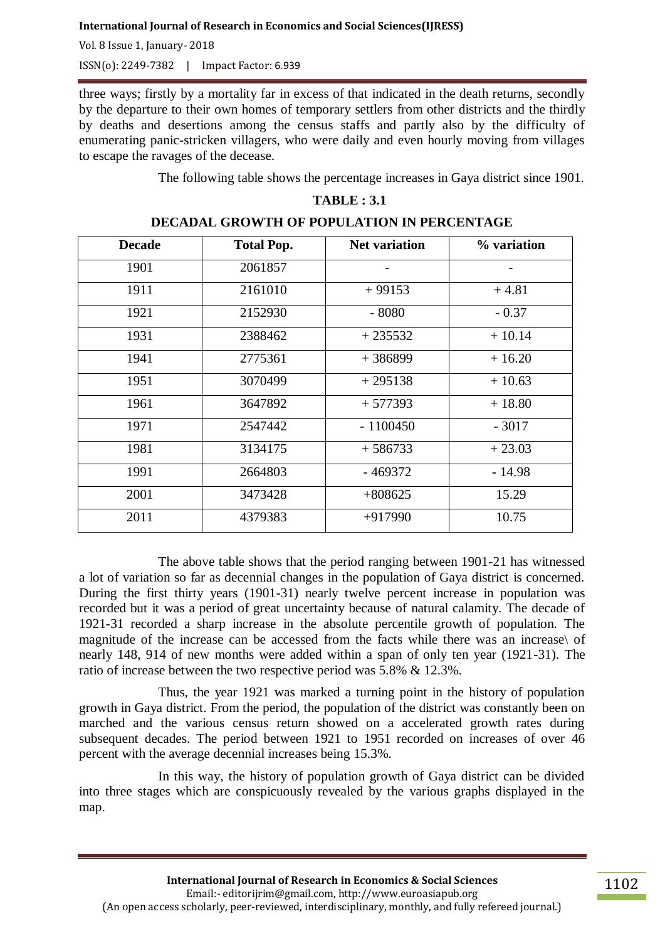Vol. 8 Issue 1, January- 2018

ISSN(o): 2249-7382 | Impact Factor: 6.939

three ways; firstly by a mortality far in excess of that indicated in the death returns, secondly by the departure to their own homes of temporary settlers from other districts and the thirdly by deaths and desertions among the census staffs and partly also by the difficulty of enumerating panic-stricken villagers, who were daily and even hourly moving from villages to escape the ravages of the decease.

The following table shows the percentage increases in Gaya district since 1901.

# **TABLE : 3.1**

| <b>Decade</b> | <b>Total Pop.</b> | <b>Net variation</b> | % variation |
|---------------|-------------------|----------------------|-------------|
| 1901          | 2061857           |                      |             |
| 1911          | 2161010           | $+99153$             | $+4.81$     |
| 1921          | 2152930           | $-8080$              | $-0.37$     |
| 1931          | 2388462           | $+235532$            | $+10.14$    |
| 1941          | 2775361           | $+386899$            | $+16.20$    |
| 1951          | 3070499           | $+295138$            | $+10.63$    |
| 1961          | 3647892           | $+577393$            | $+18.80$    |
| 1971          | 2547442           | $-1100450$           | $-3017$     |
| 1981          | 3134175           | $+586733$            | $+23.03$    |
| 1991          | 2664803           | $-469372$            | $-14.98$    |
| 2001          | 3473428           | $+808625$            | 15.29       |
| 2011          | 4379383           | $+917990$            | 10.75       |

#### **DECADAL GROWTH OF POPULATION IN PERCENTAGE**

The above table shows that the period ranging between 1901-21 has witnessed a lot of variation so far as decennial changes in the population of Gaya district is concerned. During the first thirty years (1901-31) nearly twelve percent increase in population was recorded but it was a period of great uncertainty because of natural calamity. The decade of 1921-31 recorded a sharp increase in the absolute percentile growth of population. The magnitude of the increase can be accessed from the facts while there was an increase\ of nearly 148, 914 of new months were added within a span of only ten year (1921-31). The ratio of increase between the two respective period was 5.8% & 12.3%.

Thus, the year 1921 was marked a turning point in the history of population growth in Gaya district. From the period, the population of the district was constantly been on marched and the various census return showed on a accelerated growth rates during subsequent decades. The period between 1921 to 1951 recorded on increases of over 46 percent with the average decennial increases being 15.3%.

In this way, the history of population growth of Gaya district can be divided into three stages which are conspicuously revealed by the various graphs displayed in the map.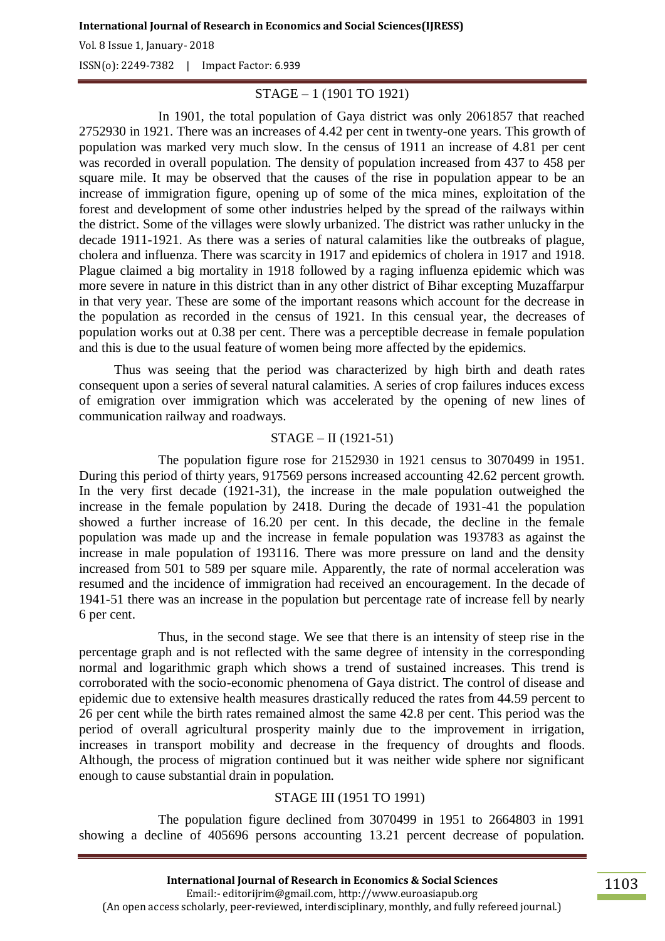Vol. 8 Issue 1, January- 2018

ISSN(o): 2249-7382 | Impact Factor: 6.939

# STAGE – 1 (1901 TO 1921)

In 1901, the total population of Gaya district was only 2061857 that reached 2752930 in 1921. There was an increases of 4.42 per cent in twenty-one years. This growth of population was marked very much slow. In the census of 1911 an increase of 4.81 per cent was recorded in overall population. The density of population increased from 437 to 458 per square mile. It may be observed that the causes of the rise in population appear to be an increase of immigration figure, opening up of some of the mica mines, exploitation of the forest and development of some other industries helped by the spread of the railways within the district. Some of the villages were slowly urbanized. The district was rather unlucky in the decade 1911-1921. As there was a series of natural calamities like the outbreaks of plague, cholera and influenza. There was scarcity in 1917 and epidemics of cholera in 1917 and 1918. Plague claimed a big mortality in 1918 followed by a raging influenza epidemic which was more severe in nature in this district than in any other district of Bihar excepting Muzaffarpur in that very year. These are some of the important reasons which account for the decrease in the population as recorded in the census of 1921. In this censual year, the decreases of population works out at 0.38 per cent. There was a perceptible decrease in female population and this is due to the usual feature of women being more affected by the epidemics.

Thus was seeing that the period was characterized by high birth and death rates consequent upon a series of several natural calamities. A series of crop failures induces excess of emigration over immigration which was accelerated by the opening of new lines of communication railway and roadways.

### STAGE – II (1921-51)

The population figure rose for 2152930 in 1921 census to 3070499 in 1951. During this period of thirty years, 917569 persons increased accounting 42.62 percent growth. In the very first decade (1921-31), the increase in the male population outweighed the increase in the female population by 2418. During the decade of 1931-41 the population showed a further increase of 16.20 per cent. In this decade, the decline in the female population was made up and the increase in female population was 193783 as against the increase in male population of 193116. There was more pressure on land and the density increased from 501 to 589 per square mile. Apparently, the rate of normal acceleration was resumed and the incidence of immigration had received an encouragement. In the decade of 1941-51 there was an increase in the population but percentage rate of increase fell by nearly 6 per cent.

Thus, in the second stage. We see that there is an intensity of steep rise in the percentage graph and is not reflected with the same degree of intensity in the corresponding normal and logarithmic graph which shows a trend of sustained increases. This trend is corroborated with the socio-economic phenomena of Gaya district. The control of disease and epidemic due to extensive health measures drastically reduced the rates from 44.59 percent to 26 per cent while the birth rates remained almost the same 42.8 per cent. This period was the period of overall agricultural prosperity mainly due to the improvement in irrigation, increases in transport mobility and decrease in the frequency of droughts and floods. Although, the process of migration continued but it was neither wide sphere nor significant enough to cause substantial drain in population.

# STAGE III (1951 TO 1991)

The population figure declined from 3070499 in 1951 to 2664803 in 1991 showing a decline of 405696 persons accounting 13.21 percent decrease of population.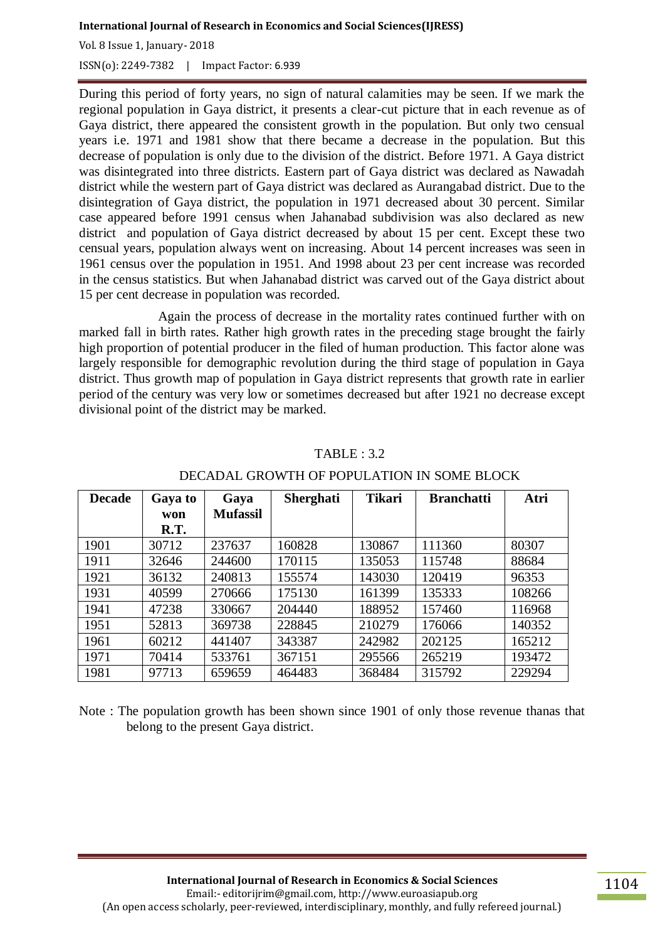Vol. 8 Issue 1, January- 2018

ISSN(o): 2249-7382 | Impact Factor: 6.939

During this period of forty years, no sign of natural calamities may be seen. If we mark the regional population in Gaya district, it presents a clear-cut picture that in each revenue as of Gaya district, there appeared the consistent growth in the population. But only two censual years i.e. 1971 and 1981 show that there became a decrease in the population. But this decrease of population is only due to the division of the district. Before 1971. A Gaya district was disintegrated into three districts. Eastern part of Gaya district was declared as Nawadah district while the western part of Gaya district was declared as Aurangabad district. Due to the disintegration of Gaya district, the population in 1971 decreased about 30 percent. Similar case appeared before 1991 census when Jahanabad subdivision was also declared as new district and population of Gaya district decreased by about 15 per cent. Except these two censual years, population always went on increasing. About 14 percent increases was seen in 1961 census over the population in 1951. And 1998 about 23 per cent increase was recorded in the census statistics. But when Jahanabad district was carved out of the Gaya district about 15 per cent decrease in population was recorded.

Again the process of decrease in the mortality rates continued further with on marked fall in birth rates. Rather high growth rates in the preceding stage brought the fairly high proportion of potential producer in the filed of human production. This factor alone was largely responsible for demographic revolution during the third stage of population in Gaya district. Thus growth map of population in Gaya district represents that growth rate in earlier period of the century was very low or sometimes decreased but after 1921 no decrease except divisional point of the district may be marked.

| <b>Decade</b> | Gaya to | Gaya            | <b>Sherghati</b> | <b>Tikari</b> | <b>Branchatti</b> | Atri   |
|---------------|---------|-----------------|------------------|---------------|-------------------|--------|
|               | won     | <b>Mufassil</b> |                  |               |                   |        |
|               | R.T.    |                 |                  |               |                   |        |
| 1901          | 30712   | 237637          | 160828           | 130867        | 111360            | 80307  |
| 1911          | 32646   | 244600          | 170115           | 135053        | 115748            | 88684  |
| 1921          | 36132   | 240813          | 155574           | 143030        | 120419            | 96353  |
| 1931          | 40599   | 270666          | 175130           | 161399        | 135333            | 108266 |
| 1941          | 47238   | 330667          | 204440           | 188952        | 157460            | 116968 |
| 1951          | 52813   | 369738          | 228845           | 210279        | 176066            | 140352 |
| 1961          | 60212   | 441407          | 343387           | 242982        | 202125            | 165212 |
| 1971          | 70414   | 533761          | 367151           | 295566        | 265219            | 193472 |
| 1981          | 97713   | 659659          | 464483           | 368484        | 315792            | 229294 |

#### TABLE : 3.2

# DECADAL GROWTH OF POPULATION IN SOME BLOCK

Note : The population growth has been shown since 1901 of only those revenue thanas that belong to the present Gaya district.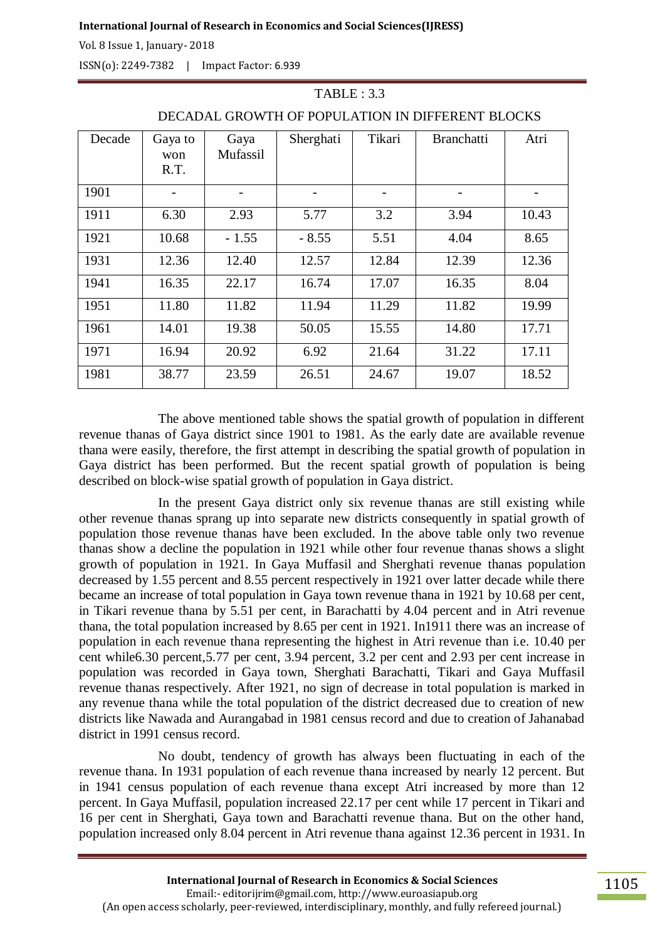Vol. 8 Issue 1, January- 2018

ISSN(o): 2249-7382 | Impact Factor: 6.939

| Decade | Gaya to<br>won<br>R.T. | Gaya<br>Mufassil | Sherghati | Tikari | <b>Branchatti</b> | Atri  |
|--------|------------------------|------------------|-----------|--------|-------------------|-------|
| 1901   |                        |                  |           |        |                   |       |
| 1911   | 6.30                   | 2.93             | 5.77      | 3.2    | 3.94              | 10.43 |
| 1921   | 10.68                  | $-1.55$          | $-8.55$   | 5.51   | 4.04              | 8.65  |
| 1931   | 12.36                  | 12.40            | 12.57     | 12.84  | 12.39             | 12.36 |
| 1941   | 16.35                  | 22.17            | 16.74     | 17.07  | 16.35             | 8.04  |
| 1951   | 11.80                  | 11.82            | 11.94     | 11.29  | 11.82             | 19.99 |
| 1961   | 14.01                  | 19.38            | 50.05     | 15.55  | 14.80             | 17.71 |
| 1971   | 16.94                  | 20.92            | 6.92      | 21.64  | 31.22             | 17.11 |
| 1981   | 38.77                  | 23.59            | 26.51     | 24.67  | 19.07             | 18.52 |

# DECADAL GROWTH OF POPULATION IN DIFFERENT BLOCKS

 $TABLE: 3.3$ 

The above mentioned table shows the spatial growth of population in different revenue thanas of Gaya district since 1901 to 1981. As the early date are available revenue thana were easily, therefore, the first attempt in describing the spatial growth of population in Gaya district has been performed. But the recent spatial growth of population is being described on block-wise spatial growth of population in Gaya district.

In the present Gaya district only six revenue thanas are still existing while other revenue thanas sprang up into separate new districts consequently in spatial growth of population those revenue thanas have been excluded. In the above table only two revenue thanas show a decline the population in 1921 while other four revenue thanas shows a slight growth of population in 1921. In Gaya Muffasil and Sherghati revenue thanas population decreased by 1.55 percent and 8.55 percent respectively in 1921 over latter decade while there became an increase of total population in Gaya town revenue thana in 1921 by 10.68 per cent, in Tikari revenue thana by 5.51 per cent, in Barachatti by 4.04 percent and in Atri revenue thana, the total population increased by 8.65 per cent in 1921. In1911 there was an increase of population in each revenue thana representing the highest in Atri revenue than i.e. 10.40 per cent while6.30 percent,5.77 per cent, 3.94 percent, 3.2 per cent and 2.93 per cent increase in population was recorded in Gaya town, Sherghati Barachatti, Tikari and Gaya Muffasil revenue thanas respectively. After 1921, no sign of decrease in total population is marked in any revenue thana while the total population of the district decreased due to creation of new districts like Nawada and Aurangabad in 1981 census record and due to creation of Jahanabad district in 1991 census record.

No doubt, tendency of growth has always been fluctuating in each of the revenue thana. In 1931 population of each revenue thana increased by nearly 12 percent. But in 1941 census population of each revenue thana except Atri increased by more than 12 percent. In Gaya Muffasil, population increased 22.17 per cent while 17 percent in Tikari and 16 per cent in Sherghati, Gaya town and Barachatti revenue thana. But on the other hand, population increased only 8.04 percent in Atri revenue thana against 12.36 percent in 1931. In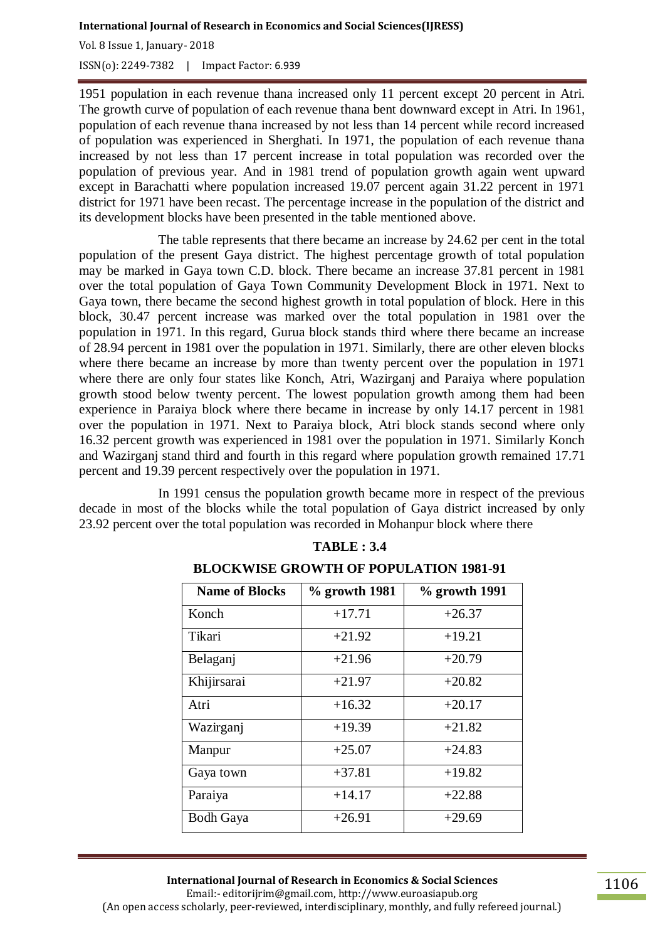Vol. 8 Issue 1, January- 2018 ISSN(o): 2249-7382 | Impact Factor: 6.939

1951 population in each revenue thana increased only 11 percent except 20 percent in Atri. The growth curve of population of each revenue thana bent downward except in Atri. In 1961, population of each revenue thana increased by not less than 14 percent while record increased of population was experienced in Sherghati. In 1971, the population of each revenue thana increased by not less than 17 percent increase in total population was recorded over the population of previous year. And in 1981 trend of population growth again went upward except in Barachatti where population increased 19.07 percent again 31.22 percent in 1971 district for 1971 have been recast. The percentage increase in the population of the district and its development blocks have been presented in the table mentioned above.

The table represents that there became an increase by 24.62 per cent in the total population of the present Gaya district. The highest percentage growth of total population may be marked in Gaya town C.D. block. There became an increase 37.81 percent in 1981 over the total population of Gaya Town Community Development Block in 1971. Next to Gaya town, there became the second highest growth in total population of block. Here in this block, 30.47 percent increase was marked over the total population in 1981 over the population in 1971. In this regard, Gurua block stands third where there became an increase of 28.94 percent in 1981 over the population in 1971. Similarly, there are other eleven blocks where there became an increase by more than twenty percent over the population in 1971 where there are only four states like Konch, Atri, Wazirganj and Paraiya where population growth stood below twenty percent. The lowest population growth among them had been experience in Paraiya block where there became in increase by only 14.17 percent in 1981 over the population in 1971. Next to Paraiya block, Atri block stands second where only 16.32 percent growth was experienced in 1981 over the population in 1971. Similarly Konch and Wazirganj stand third and fourth in this regard where population growth remained 17.71 percent and 19.39 percent respectively over the population in 1971.

In 1991 census the population growth became more in respect of the previous decade in most of the blocks while the total population of Gaya district increased by only 23.92 percent over the total population was recorded in Mohanpur block where there

| <b>Name of Blocks</b> | $%$ growth 1981 | $%$ growth 1991 |
|-----------------------|-----------------|-----------------|
| Konch                 | $+17.71$        | $+26.37$        |
| Tikari                | $+21.92$        | $+19.21$        |
| Belaganj              | $+21.96$        | $+20.79$        |
| Khijirsarai           | $+21.97$        | $+20.82$        |
| Atri                  | $+16.32$        | $+20.17$        |
| Wazirganj             | $+19.39$        | $+21.82$        |
| Manpur                | $+25.07$        | $+24.83$        |
| Gaya town             | $+37.81$        | $+19.82$        |
| Paraiya               | $+14.17$        | $+22.88$        |
| <b>Bodh Gaya</b>      | $+26.91$        | $+29.69$        |

#### **TABLE : 3.4**

# **BLOCKWISE GROWTH OF POPULATION 1981-91**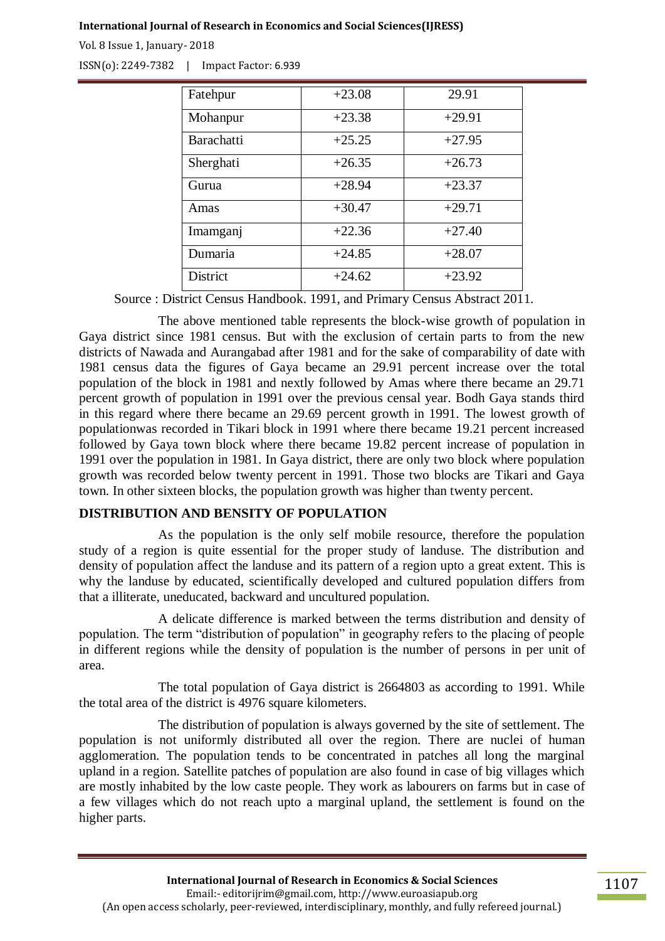Vol. 8 Issue 1, January- 2018

ISSN(o): 2249-7382 | Impact Factor: 6.939

| Fatehpur        | $+23.08$ | 29.91    |
|-----------------|----------|----------|
| Mohanpur        | $+23.38$ | $+29.91$ |
| Barachatti      | $+25.25$ | $+27.95$ |
| Sherghati       | $+26.35$ | $+26.73$ |
| Gurua           | $+28.94$ | $+23.37$ |
| Amas            | $+30.47$ | $+29.71$ |
| Imamganj        | $+22.36$ | $+27.40$ |
| Dumaria         | $+24.85$ | $+28.07$ |
| <b>District</b> | $+24.62$ | $+23.92$ |

Source : District Census Handbook. 1991, and Primary Census Abstract 2011.

The above mentioned table represents the block-wise growth of population in Gaya district since 1981 census. But with the exclusion of certain parts to from the new districts of Nawada and Aurangabad after 1981 and for the sake of comparability of date with 1981 census data the figures of Gaya became an 29.91 percent increase over the total population of the block in 1981 and nextly followed by Amas where there became an 29.71 percent growth of population in 1991 over the previous censal year. Bodh Gaya stands third in this regard where there became an 29.69 percent growth in 1991. The lowest growth of populationwas recorded in Tikari block in 1991 where there became 19.21 percent increased followed by Gaya town block where there became 19.82 percent increase of population in 1991 over the population in 1981. In Gaya district, there are only two block where population growth was recorded below twenty percent in 1991. Those two blocks are Tikari and Gaya town. In other sixteen blocks, the population growth was higher than twenty percent.

# **DISTRIBUTION AND BENSITY OF POPULATION**

As the population is the only self mobile resource, therefore the population study of a region is quite essential for the proper study of landuse. The distribution and density of population affect the landuse and its pattern of a region upto a great extent. This is why the landuse by educated, scientifically developed and cultured population differs from that a illiterate, uneducated, backward and uncultured population.

A delicate difference is marked between the terms distribution and density of population. The term "distribution of population" in geography refers to the placing of people in different regions while the density of population is the number of persons in per unit of area.

The total population of Gaya district is 2664803 as according to 1991. While the total area of the district is 4976 square kilometers.

The distribution of population is always governed by the site of settlement. The population is not uniformly distributed all over the region. There are nuclei of human agglomeration. The population tends to be concentrated in patches all long the marginal upland in a region. Satellite patches of population are also found in case of big villages which are mostly inhabited by the low caste people. They work as labourers on farms but in case of a few villages which do not reach upto a marginal upland, the settlement is found on the higher parts.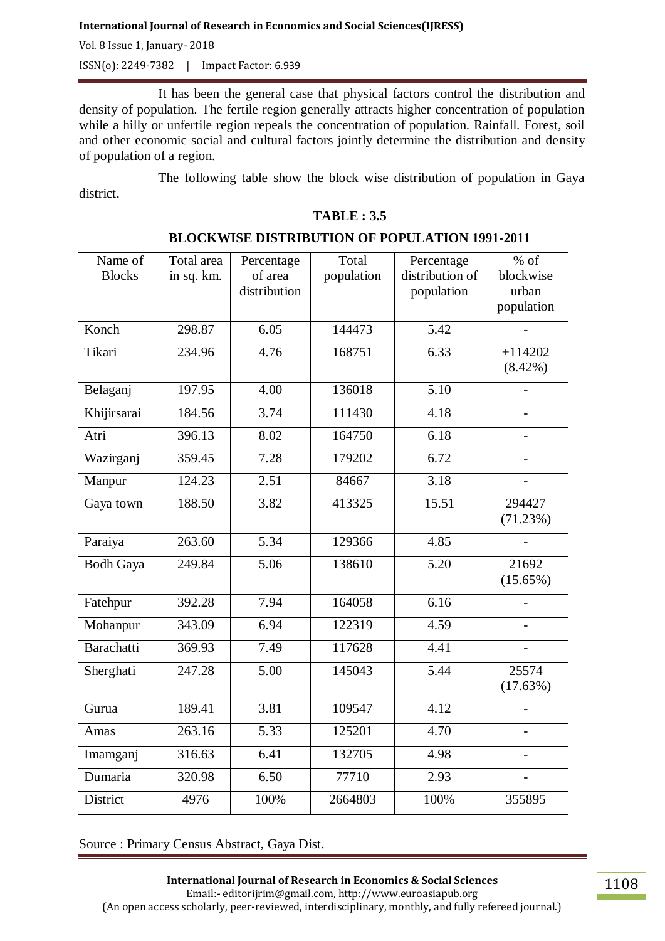Vol. 8 Issue 1, January- 2018

ISSN(o): 2249-7382 | Impact Factor: 6.939

It has been the general case that physical factors control the distribution and density of population. The fertile region generally attracts higher concentration of population while a hilly or unfertile region repeals the concentration of population. Rainfall. Forest, soil and other economic social and cultural factors jointly determine the distribution and density of population of a region.

The following table show the block wise distribution of population in Gaya district.

| Name of<br><b>Blocks</b> | Total area<br>in sq. km. | Percentage<br>of area<br>distribution | Total<br>population | Percentage<br>distribution of<br>population | $%$ of<br>blockwise<br>urban |
|--------------------------|--------------------------|---------------------------------------|---------------------|---------------------------------------------|------------------------------|
|                          |                          |                                       |                     |                                             | population                   |
| Konch                    | 298.87                   | 6.05                                  | 144473              | 5.42                                        |                              |
| Tikari                   | 234.96                   | 4.76                                  | 168751              | 6.33                                        | $+114202$<br>$(8.42\%)$      |
| Belaganj                 | 197.95                   | 4.00                                  | 136018              | $\overline{5.10}$                           |                              |
| Khijirsarai              | 184.56                   | 3.74                                  | 111430              | 4.18                                        |                              |
| Atri                     | 396.13                   | 8.02                                  | 164750              | 6.18                                        |                              |
| Wazirganj                | 359.45                   | 7.28                                  | 179202              | 6.72                                        |                              |
| Manpur                   | 124.23                   | 2.51                                  | 84667               | 3.18                                        |                              |
| Gaya town                | 188.50                   | 3.82                                  | 413325              | 15.51                                       | 294427<br>(71.23%)           |
| Paraiya                  | 263.60                   | $\overline{5.34}$                     | 129366              | 4.85                                        |                              |
| <b>Bodh Gaya</b>         | 249.84                   | 5.06                                  | 138610              | 5.20                                        | 21692<br>$(15.65\%)$         |
| Fatehpur                 | 392.28                   | 7.94                                  | 164058              | 6.16                                        |                              |
| Mohanpur                 | 343.09                   | 6.94                                  | 122319              | 4.59                                        |                              |
| <b>Barachatti</b>        | 369.93                   | 7.49                                  | 117628              | 4.41                                        |                              |
| Sherghati                | 247.28                   | 5.00                                  | 145043              | 5.44                                        | 25574<br>(17.63%)            |
| Gurua                    | 189.41                   | 3.81                                  | 109547              | 4.12                                        |                              |
| Amas                     | 263.16                   | $\overline{5.33}$                     | 125201              | 4.70                                        |                              |
| Imamganj                 | 316.63                   | 6.41                                  | 132705              | 4.98                                        |                              |
| Dumaria                  | 320.98                   | 6.50                                  | 77710               | 2.93                                        |                              |
| District                 | 4976                     | 100%                                  | 2664803             | 100%                                        | 355895                       |

### **BLOCKWISE DISTRIBUTION OF POPULATION 1991-2011**

**TABLE : 3.5**

Source : Primary Census Abstract, Gaya Dist.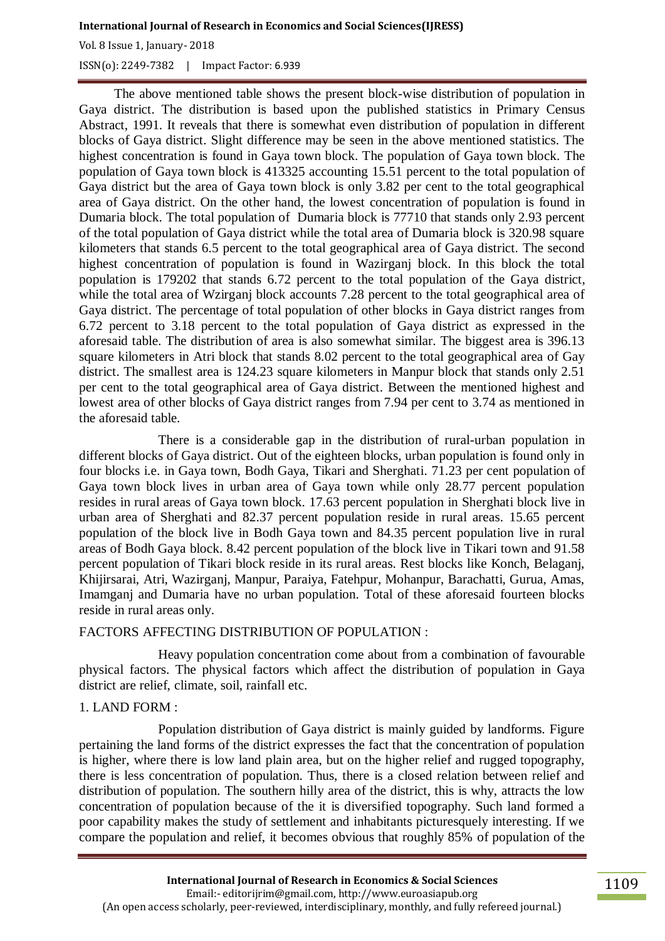Vol. 8 Issue 1, January- 2018

ISSN(o): 2249-7382 | Impact Factor: 6.939

The above mentioned table shows the present block-wise distribution of population in Gaya district. The distribution is based upon the published statistics in Primary Census Abstract, 1991. It reveals that there is somewhat even distribution of population in different blocks of Gaya district. Slight difference may be seen in the above mentioned statistics. The highest concentration is found in Gaya town block. The population of Gaya town block. The population of Gaya town block is 413325 accounting 15.51 percent to the total population of Gaya district but the area of Gaya town block is only 3.82 per cent to the total geographical area of Gaya district. On the other hand, the lowest concentration of population is found in Dumaria block. The total population of Dumaria block is 77710 that stands only 2.93 percent of the total population of Gaya district while the total area of Dumaria block is 320.98 square kilometers that stands 6.5 percent to the total geographical area of Gaya district. The second highest concentration of population is found in Wazirganj block. In this block the total population is 179202 that stands 6.72 percent to the total population of the Gaya district, while the total area of Wzirganj block accounts 7.28 percent to the total geographical area of Gaya district. The percentage of total population of other blocks in Gaya district ranges from 6.72 percent to 3.18 percent to the total population of Gaya district as expressed in the aforesaid table. The distribution of area is also somewhat similar. The biggest area is 396.13 square kilometers in Atri block that stands 8.02 percent to the total geographical area of Gay district. The smallest area is 124.23 square kilometers in Manpur block that stands only 2.51 per cent to the total geographical area of Gaya district. Between the mentioned highest and lowest area of other blocks of Gaya district ranges from 7.94 per cent to 3.74 as mentioned in the aforesaid table.

There is a considerable gap in the distribution of rural-urban population in different blocks of Gaya district. Out of the eighteen blocks, urban population is found only in four blocks i.e. in Gaya town, Bodh Gaya, Tikari and Sherghati. 71.23 per cent population of Gaya town block lives in urban area of Gaya town while only 28.77 percent population resides in rural areas of Gaya town block. 17.63 percent population in Sherghati block live in urban area of Sherghati and 82.37 percent population reside in rural areas. 15.65 percent population of the block live in Bodh Gaya town and 84.35 percent population live in rural areas of Bodh Gaya block. 8.42 percent population of the block live in Tikari town and 91.58 percent population of Tikari block reside in its rural areas. Rest blocks like Konch, Belaganj, Khijirsarai, Atri, Wazirganj, Manpur, Paraiya, Fatehpur, Mohanpur, Barachatti, Gurua, Amas, Imamganj and Dumaria have no urban population. Total of these aforesaid fourteen blocks reside in rural areas only.

# FACTORS AFFECTING DISTRIBUTION OF POPULATION :

Heavy population concentration come about from a combination of favourable physical factors. The physical factors which affect the distribution of population in Gaya district are relief, climate, soil, rainfall etc.

# 1. LAND FORM :

Population distribution of Gaya district is mainly guided by landforms. Figure pertaining the land forms of the district expresses the fact that the concentration of population is higher, where there is low land plain area, but on the higher relief and rugged topography, there is less concentration of population. Thus, there is a closed relation between relief and distribution of population. The southern hilly area of the district, this is why, attracts the low concentration of population because of the it is diversified topography. Such land formed a poor capability makes the study of settlement and inhabitants picturesquely interesting. If we compare the population and relief, it becomes obvious that roughly 85% of population of the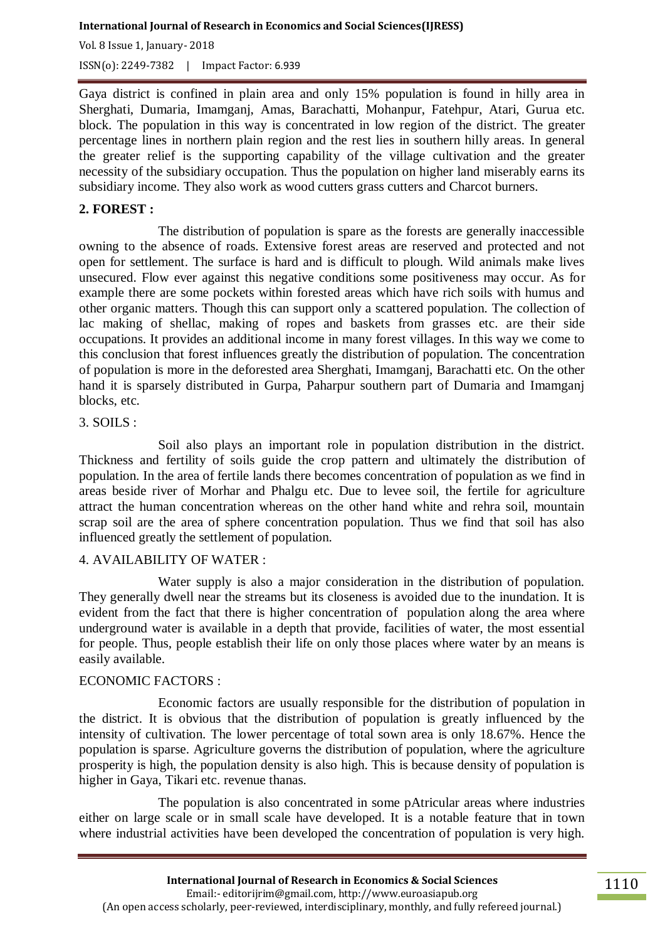Vol. 8 Issue 1, January- 2018 ISSN(o): 2249-7382 | Impact Factor: 6.939

Gaya district is confined in plain area and only 15% population is found in hilly area in Sherghati, Dumaria, Imamganj, Amas, Barachatti, Mohanpur, Fatehpur, Atari, Gurua etc. block. The population in this way is concentrated in low region of the district. The greater percentage lines in northern plain region and the rest lies in southern hilly areas. In general the greater relief is the supporting capability of the village cultivation and the greater necessity of the subsidiary occupation. Thus the population on higher land miserably earns its subsidiary income. They also work as wood cutters grass cutters and Charcot burners.

### **2. FOREST :**

The distribution of population is spare as the forests are generally inaccessible owning to the absence of roads. Extensive forest areas are reserved and protected and not open for settlement. The surface is hard and is difficult to plough. Wild animals make lives unsecured. Flow ever against this negative conditions some positiveness may occur. As for example there are some pockets within forested areas which have rich soils with humus and other organic matters. Though this can support only a scattered population. The collection of lac making of shellac, making of ropes and baskets from grasses etc. are their side occupations. It provides an additional income in many forest villages. In this way we come to this conclusion that forest influences greatly the distribution of population. The concentration of population is more in the deforested area Sherghati, Imamganj, Barachatti etc. On the other hand it is sparsely distributed in Gurpa, Paharpur southern part of Dumaria and Imamganj blocks, etc.

#### 3. SOILS :

Soil also plays an important role in population distribution in the district. Thickness and fertility of soils guide the crop pattern and ultimately the distribution of population. In the area of fertile lands there becomes concentration of population as we find in areas beside river of Morhar and Phalgu etc. Due to levee soil, the fertile for agriculture attract the human concentration whereas on the other hand white and rehra soil, mountain scrap soil are the area of sphere concentration population. Thus we find that soil has also influenced greatly the settlement of population.

### 4. AVAILABILITY OF WATER :

Water supply is also a major consideration in the distribution of population. They generally dwell near the streams but its closeness is avoided due to the inundation. It is evident from the fact that there is higher concentration of population along the area where underground water is available in a depth that provide, facilities of water, the most essential for people. Thus, people establish their life on only those places where water by an means is easily available.

#### ECONOMIC FACTORS :

Economic factors are usually responsible for the distribution of population in the district. It is obvious that the distribution of population is greatly influenced by the intensity of cultivation. The lower percentage of total sown area is only 18.67%. Hence the population is sparse. Agriculture governs the distribution of population, where the agriculture prosperity is high, the population density is also high. This is because density of population is higher in Gaya, Tikari etc. revenue thanas.

The population is also concentrated in some pAtricular areas where industries either on large scale or in small scale have developed. It is a notable feature that in town where industrial activities have been developed the concentration of population is very high.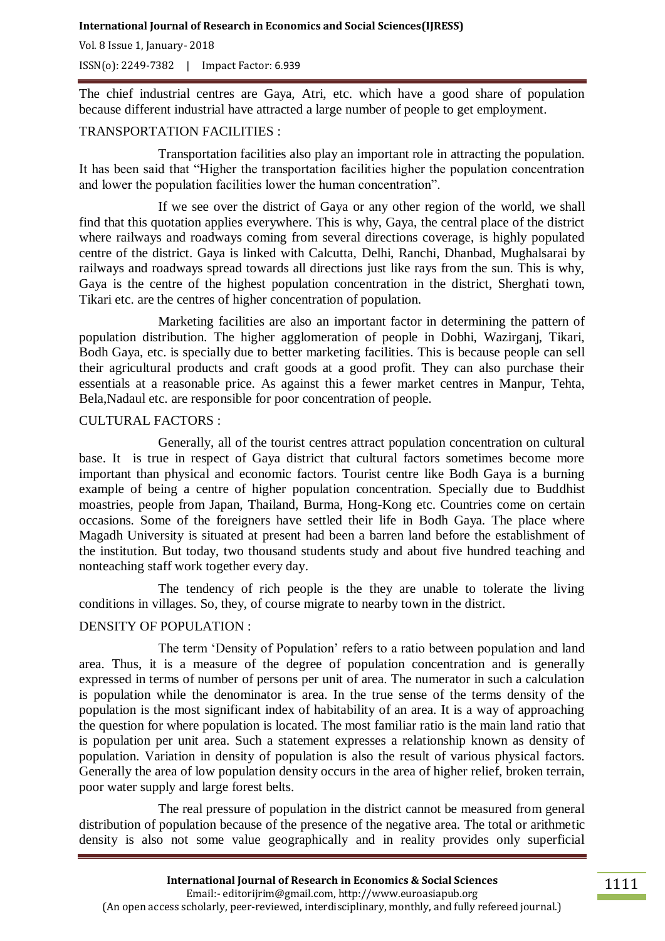Vol. 8 Issue 1, January- 2018

ISSN(o): 2249-7382 | Impact Factor: 6.939

The chief industrial centres are Gaya, Atri, etc. which have a good share of population because different industrial have attracted a large number of people to get employment.

### TRANSPORTATION FACILITIES :

Transportation facilities also play an important role in attracting the population. It has been said that "Higher the transportation facilities higher the population concentration and lower the population facilities lower the human concentration".

If we see over the district of Gaya or any other region of the world, we shall find that this quotation applies everywhere. This is why, Gaya, the central place of the district where railways and roadways coming from several directions coverage, is highly populated centre of the district. Gaya is linked with Calcutta, Delhi, Ranchi, Dhanbad, Mughalsarai by railways and roadways spread towards all directions just like rays from the sun. This is why, Gaya is the centre of the highest population concentration in the district, Sherghati town, Tikari etc. are the centres of higher concentration of population.

Marketing facilities are also an important factor in determining the pattern of population distribution. The higher agglomeration of people in Dobhi, Wazirganj, Tikari, Bodh Gaya, etc. is specially due to better marketing facilities. This is because people can sell their agricultural products and craft goods at a good profit. They can also purchase their essentials at a reasonable price. As against this a fewer market centres in Manpur, Tehta, Bela,Nadaul etc. are responsible for poor concentration of people.

### CULTURAL FACTORS :

Generally, all of the tourist centres attract population concentration on cultural base. It is true in respect of Gaya district that cultural factors sometimes become more important than physical and economic factors. Tourist centre like Bodh Gaya is a burning example of being a centre of higher population concentration. Specially due to Buddhist moastries, people from Japan, Thailand, Burma, Hong-Kong etc. Countries come on certain occasions. Some of the foreigners have settled their life in Bodh Gaya. The place where Magadh University is situated at present had been a barren land before the establishment of the institution. But today, two thousand students study and about five hundred teaching and nonteaching staff work together every day.

The tendency of rich people is the they are unable to tolerate the living conditions in villages. So, they, of course migrate to nearby town in the district.

### DENSITY OF POPULATION :

The term "Density of Population" refers to a ratio between population and land area. Thus, it is a measure of the degree of population concentration and is generally expressed in terms of number of persons per unit of area. The numerator in such a calculation is population while the denominator is area. In the true sense of the terms density of the population is the most significant index of habitability of an area. It is a way of approaching the question for where population is located. The most familiar ratio is the main land ratio that is population per unit area. Such a statement expresses a relationship known as density of population. Variation in density of population is also the result of various physical factors. Generally the area of low population density occurs in the area of higher relief, broken terrain, poor water supply and large forest belts.

The real pressure of population in the district cannot be measured from general distribution of population because of the presence of the negative area. The total or arithmetic density is also not some value geographically and in reality provides only superficial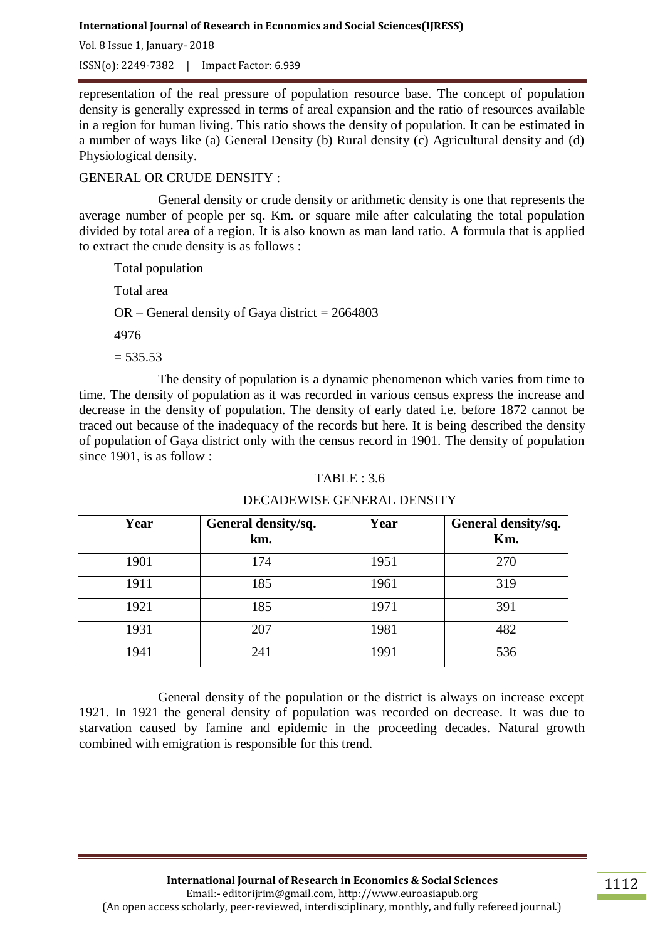Vol. 8 Issue 1, January- 2018

ISSN(o): 2249-7382 | Impact Factor: 6.939

representation of the real pressure of population resource base. The concept of population density is generally expressed in terms of areal expansion and the ratio of resources available in a region for human living. This ratio shows the density of population. It can be estimated in a number of ways like (a) General Density (b) Rural density (c) Agricultural density and (d) Physiological density.

### GENERAL OR CRUDE DENSITY :

General density or crude density or arithmetic density is one that represents the average number of people per sq. Km. or square mile after calculating the total population divided by total area of a region. It is also known as man land ratio. A formula that is applied to extract the crude density is as follows :

Total population

Total area

 $OR - General$  density of Gaya district = 2664803

4976

 $= 535.53$ 

The density of population is a dynamic phenomenon which varies from time to time. The density of population as it was recorded in various census express the increase and decrease in the density of population. The density of early dated i.e. before 1872 cannot be traced out because of the inadequacy of the records but here. It is being described the density of population of Gaya district only with the census record in 1901. The density of population since 1901, is as follow :

# TABLE : 3.6

### DECADEWISE GENERAL DENSITY

| Year | General density/sq.<br>km. | Year | General density/sq.<br>Km. |
|------|----------------------------|------|----------------------------|
| 1901 | 174                        | 1951 | 270                        |
| 1911 | 185                        | 1961 | 319                        |
| 1921 | 185                        | 1971 | 391                        |
| 1931 | 207                        | 1981 | 482                        |
| 1941 | 241                        | 1991 | 536                        |

General density of the population or the district is always on increase except 1921. In 1921 the general density of population was recorded on decrease. It was due to starvation caused by famine and epidemic in the proceeding decades. Natural growth combined with emigration is responsible for this trend.